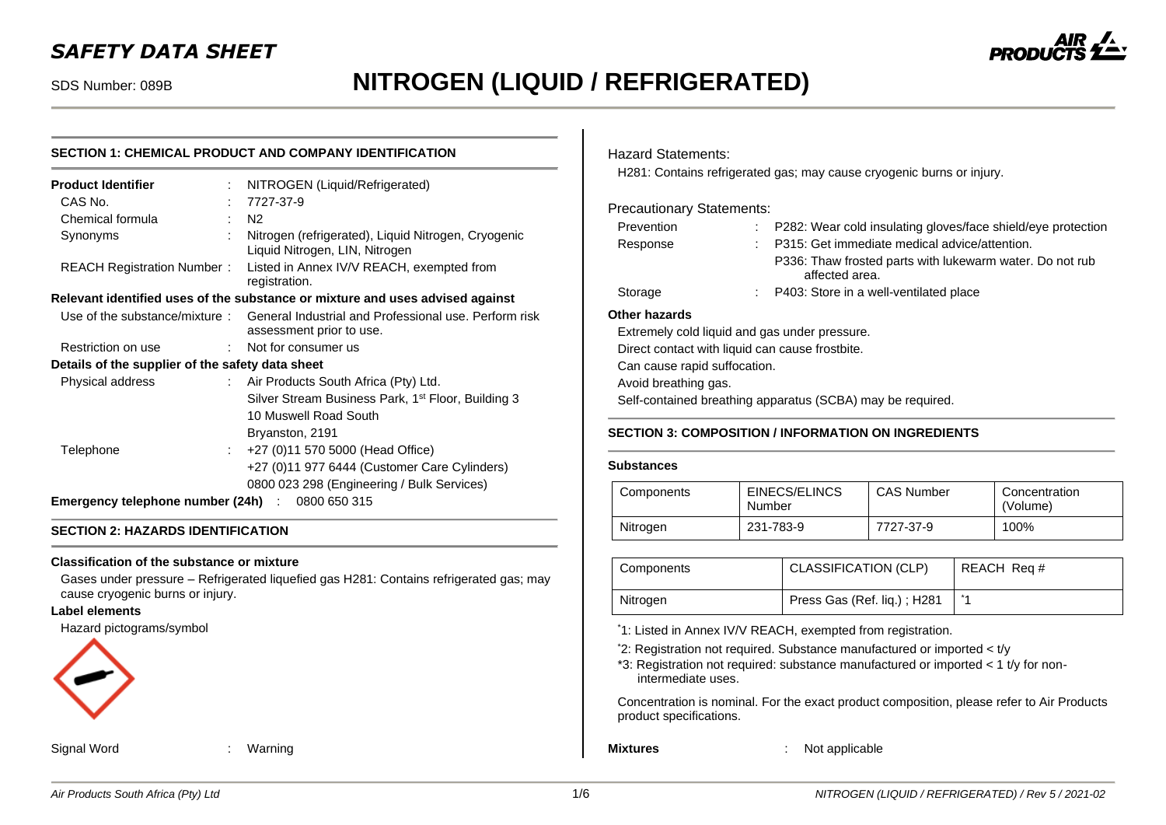# *SAFETY DATA SHEET*

# SDS Number: 089B **NITROGEN (LIQUID / REFRIGERATED)**

# **SECTION 1: CHEMICAL PRODUCT AND COMPANY IDENTIFICATION**

| <b>Product Identifier</b>                        |                              | NITROGEN (Liquid/Refrigerated)                                                                                  |
|--------------------------------------------------|------------------------------|-----------------------------------------------------------------------------------------------------------------|
| CAS No.                                          |                              | 7727-37-9                                                                                                       |
| Chemical formula                                 | t.                           | N2                                                                                                              |
| Synonyms                                         |                              | Nitrogen (refrigerated), Liquid Nitrogen, Cryogenic<br>Liquid Nitrogen, LIN, Nitrogen                           |
| <b>REACH Registration Number:</b>                |                              | Listed in Annex IV/V REACH, exempted from<br>registration.                                                      |
|                                                  |                              | Relevant identified uses of the substance or mixture and uses advised against                                   |
|                                                  |                              | Use of the substance/mixture: General Industrial and Professional use. Perform risk<br>assessment prior to use. |
| Restriction on use                               | $\mathcal{L}_{\mathrm{max}}$ | Not for consumer us                                                                                             |
| Details of the supplier of the safety data sheet |                              |                                                                                                                 |
| Physical address                                 |                              | : Air Products South Africa (Pty) Ltd.                                                                          |
|                                                  |                              | Silver Stream Business Park, 1 <sup>st</sup> Floor, Building 3                                                  |
|                                                  |                              | 10 Muswell Road South                                                                                           |
|                                                  |                              | Bryanston, 2191                                                                                                 |
| Telephone                                        | t.                           | +27 (0)11 570 5000 (Head Office)                                                                                |
|                                                  |                              | +27 (0)11 977 6444 (Customer Care Cylinders)                                                                    |
|                                                  |                              | 0800 023 298 (Engineering / Bulk Services)                                                                      |
| Emergency telephone number (24h) : 0800 650 315  |                              |                                                                                                                 |

## **SECTION 2: HAZARDS IDENTIFICATION**

#### **Classification of the substance or mixture**

Gases under pressure – Refrigerated liquefied gas H281: Contains refrigerated gas; may cause cryogenic burns or injury.

## **Label elements**

Hazard pictograms/symbol



Signal Word : Warning

### Hazard Statements:

H281: Contains refrigerated gas; may cause cryogenic burns or injury.

#### Precautionary Statements:

| Prevention    |     | $\therefore$ P282: Wear cold insulating gloves/face shield/eye protection  |
|---------------|-----|----------------------------------------------------------------------------|
| Response      | t i | P315: Get immediate medical advice/attention.                              |
|               |     | P336: Thaw frosted parts with lukewarm water. Do not rub<br>affected area. |
| Storage       |     | : P403: Store in a well-ventilated place                                   |
| Nthar hazarde |     |                                                                            |

#### **Other hazards**

Extremely cold liquid and gas under pressure. Direct contact with liquid can cause frostbite. Can cause rapid suffocation. Avoid breathing gas. Self-contained breathing apparatus (SCBA) may be required.

# **SECTION 3: COMPOSITION / INFORMATION ON INGREDIENTS**

#### **Substances**

| Components | EINECS/ELINCS<br>Number | <b>CAS Number</b> | Concentration<br>(Volume) |
|------------|-------------------------|-------------------|---------------------------|
| Nitrogen   | 231-783-9               | 7727-37-9         | 100%                      |

| Components | <b>CLASSIFICATION (CLP)</b> | REACH Req # |
|------------|-----------------------------|-------------|
| Nitrogen   | Press Gas (Ref. liq.); H281 |             |

\*1: Listed in Annex IV/V REACH, exempted from registration.

- \*2: Registration not required. Substance manufactured or imported < t/y
- \*3: Registration not required: substance manufactured or imported < 1 t/y for nonintermediate uses.

Concentration is nominal. For the exact product composition, please refer to Air Products product specifications.

**Mixtures** : Not applicable

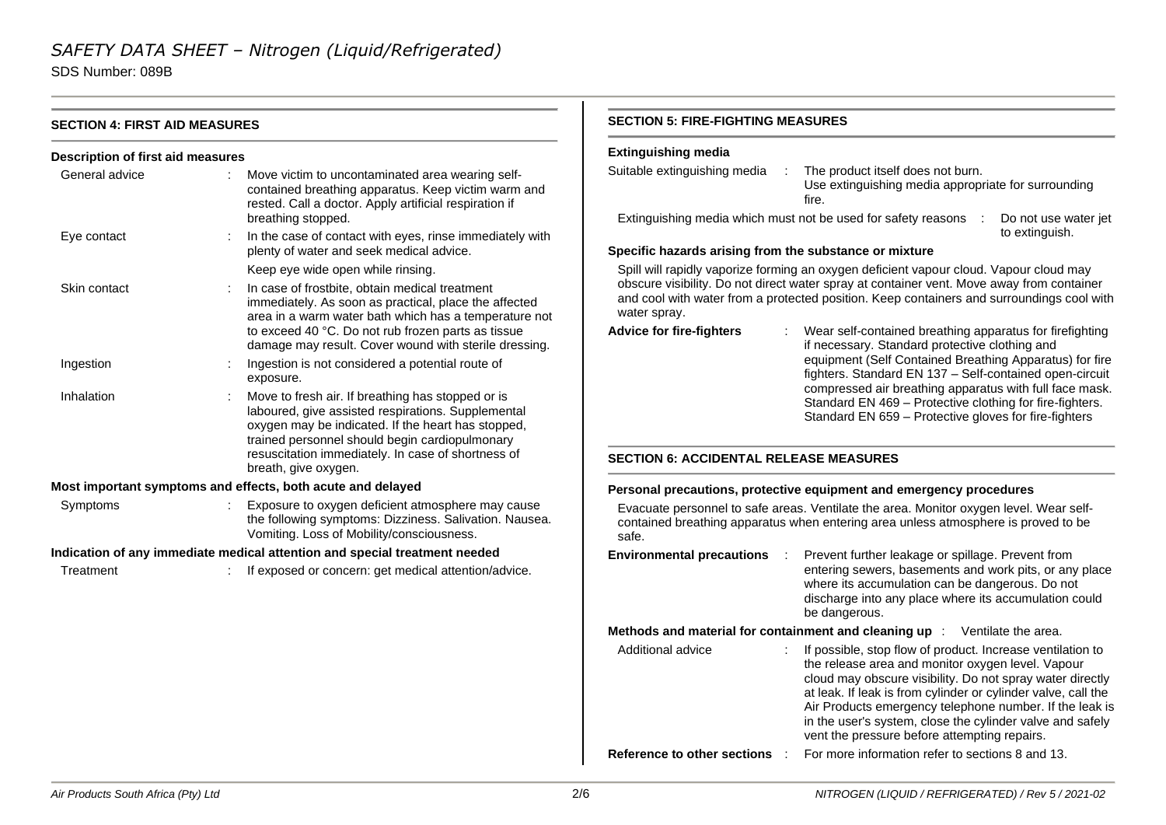SDS Number: 089B

| <b>SECTION 4: FIRST AID MEASURES</b>                                                                                                                                 |  |                                                                                                                                                                                                                                                                                 | <b>SECTION 5: FIRE-FIGHTING MEASURES</b>                                                                                                                                                                                                                                                                                                                |                                                                                                                                                                                                                                                                                                                                                                                                                       |  |  |  |
|----------------------------------------------------------------------------------------------------------------------------------------------------------------------|--|---------------------------------------------------------------------------------------------------------------------------------------------------------------------------------------------------------------------------------------------------------------------------------|---------------------------------------------------------------------------------------------------------------------------------------------------------------------------------------------------------------------------------------------------------------------------------------------------------------------------------------------------------|-----------------------------------------------------------------------------------------------------------------------------------------------------------------------------------------------------------------------------------------------------------------------------------------------------------------------------------------------------------------------------------------------------------------------|--|--|--|
| <b>Description of first aid measures</b>                                                                                                                             |  |                                                                                                                                                                                                                                                                                 | <b>Extinguishing media</b>                                                                                                                                                                                                                                                                                                                              |                                                                                                                                                                                                                                                                                                                                                                                                                       |  |  |  |
| General advice                                                                                                                                                       |  | Move victim to uncontaminated area wearing self-<br>contained breathing apparatus. Keep victim warm and<br>rested. Call a doctor. Apply artificial respiration if<br>breathing stopped.                                                                                         | Suitable extinguishing media                                                                                                                                                                                                                                                                                                                            | The product itself does not burn.<br>Use extinguishing media appropriate for surrounding<br>fire.<br>Extinguishing media which must not be used for safety reasons :<br>Do not use water jet                                                                                                                                                                                                                          |  |  |  |
| Eye contact                                                                                                                                                          |  | In the case of contact with eyes, rinse immediately with<br>plenty of water and seek medical advice.                                                                                                                                                                            | Specific hazards arising from the substance or mixture                                                                                                                                                                                                                                                                                                  | to extinguish.                                                                                                                                                                                                                                                                                                                                                                                                        |  |  |  |
|                                                                                                                                                                      |  | Keep eye wide open while rinsing.                                                                                                                                                                                                                                               | Spill will rapidly vaporize forming an oxygen deficient vapour cloud. Vapour cloud may                                                                                                                                                                                                                                                                  |                                                                                                                                                                                                                                                                                                                                                                                                                       |  |  |  |
| Skin contact                                                                                                                                                         |  | In case of frostbite, obtain medical treatment<br>immediately. As soon as practical, place the affected<br>area in a warm water bath which has a temperature not<br>to exceed 40 °C. Do not rub frozen parts as tissue<br>damage may result. Cover wound with sterile dressing. | obscure visibility. Do not direct water spray at container vent. Move away from container<br>and cool with water from a protected position. Keep containers and surroundings cool with<br>water spray.<br><b>Advice for fire-fighters</b><br>Wear self-contained breathing apparatus for firefighting<br>if necessary. Standard protective clothing and |                                                                                                                                                                                                                                                                                                                                                                                                                       |  |  |  |
| Ingestion                                                                                                                                                            |  | Ingestion is not considered a potential route of<br>exposure.                                                                                                                                                                                                                   |                                                                                                                                                                                                                                                                                                                                                         | equipment (Self Contained Breathing Apparatus) for fire<br>fighters. Standard EN 137 - Self-contained open-circuit                                                                                                                                                                                                                                                                                                    |  |  |  |
| Inhalation<br>breath, give oxygen.                                                                                                                                   |  | Move to fresh air. If breathing has stopped or is<br>laboured, give assisted respirations. Supplemental<br>oxygen may be indicated. If the heart has stopped,<br>trained personnel should begin cardiopulmonary                                                                 |                                                                                                                                                                                                                                                                                                                                                         | compressed air breathing apparatus with full face mask.<br>Standard EN 469 - Protective clothing for fire-fighters.<br>Standard EN 659 - Protective gloves for fire-fighters                                                                                                                                                                                                                                          |  |  |  |
|                                                                                                                                                                      |  | resuscitation immediately. In case of shortness of                                                                                                                                                                                                                              | <b>SECTION 6: ACCIDENTAL RELEASE MEASURES</b>                                                                                                                                                                                                                                                                                                           |                                                                                                                                                                                                                                                                                                                                                                                                                       |  |  |  |
|                                                                                                                                                                      |  | Most important symptoms and effects, both acute and delayed                                                                                                                                                                                                                     |                                                                                                                                                                                                                                                                                                                                                         | Personal precautions, protective equipment and emergency procedures                                                                                                                                                                                                                                                                                                                                                   |  |  |  |
| Exposure to oxygen deficient atmosphere may cause<br>Symptoms<br>the following symptoms: Dizziness. Salivation. Nausea.<br>Vomiting. Loss of Mobility/consciousness. |  |                                                                                                                                                                                                                                                                                 | Evacuate personnel to safe areas. Ventilate the area. Monitor oxygen level. Wear self-<br>contained breathing apparatus when entering area unless atmosphere is proved to be<br>safe.                                                                                                                                                                   |                                                                                                                                                                                                                                                                                                                                                                                                                       |  |  |  |
|                                                                                                                                                                      |  | Indication of any immediate medical attention and special treatment needed                                                                                                                                                                                                      | <b>Environmental precautions</b>                                                                                                                                                                                                                                                                                                                        | Prevent further leakage or spillage. Prevent from                                                                                                                                                                                                                                                                                                                                                                     |  |  |  |
| Treatment                                                                                                                                                            |  | If exposed or concern: get medical attention/advice.                                                                                                                                                                                                                            |                                                                                                                                                                                                                                                                                                                                                         | entering sewers, basements and work pits, or any place<br>where its accumulation can be dangerous. Do not<br>discharge into any place where its accumulation could<br>be dangerous.                                                                                                                                                                                                                                   |  |  |  |
|                                                                                                                                                                      |  |                                                                                                                                                                                                                                                                                 |                                                                                                                                                                                                                                                                                                                                                         | Methods and material for containment and cleaning up : Ventilate the area.                                                                                                                                                                                                                                                                                                                                            |  |  |  |
|                                                                                                                                                                      |  |                                                                                                                                                                                                                                                                                 | Additional advice                                                                                                                                                                                                                                                                                                                                       | If possible, stop flow of product. Increase ventilation to<br>the release area and monitor oxygen level. Vapour<br>cloud may obscure visibility. Do not spray water directly<br>at leak. If leak is from cylinder or cylinder valve, call the<br>Air Products emergency telephone number. If the leak is<br>in the user's system, close the cylinder valve and safely<br>vent the pressure before attempting repairs. |  |  |  |
|                                                                                                                                                                      |  |                                                                                                                                                                                                                                                                                 | Reference to other sections :                                                                                                                                                                                                                                                                                                                           | For more information refer to sections 8 and 13.                                                                                                                                                                                                                                                                                                                                                                      |  |  |  |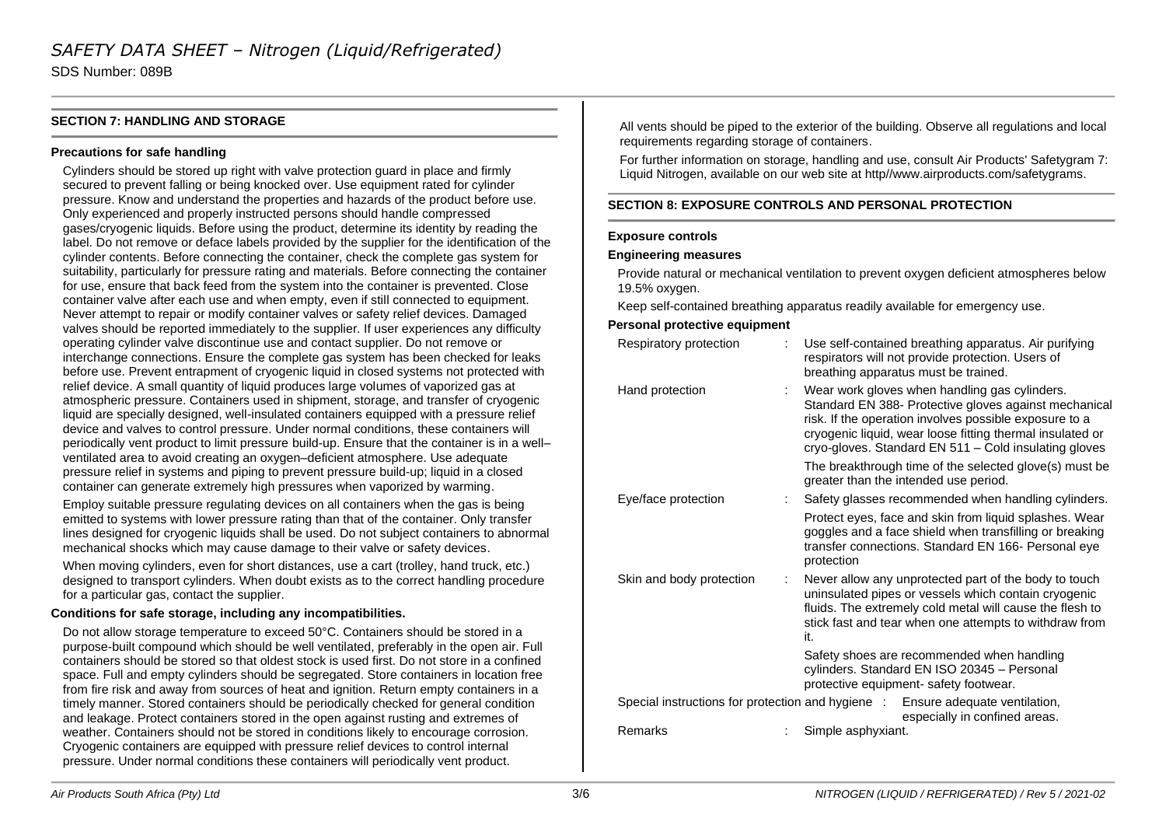SDS Number: 089B

# **SECTION 7: HANDLING AND STORAGE**

## **Precautions for safe handling**

Cylinders should be stored up right with valve protection guard in place and firmly secured to prevent falling or being knocked over. Use equipment rated for cylinder pressure. Know and understand the properties and hazards of the product before use. Only experienced and properly instructed persons should handle compressed gases/cryogenic liquids. Before using the product, determine its identity by reading the label. Do not remove or deface labels provided by the supplier for the identification of the cylinder contents. Before connecting the container, check the complete gas system for suitability, particularly for pressure rating and materials. Before connecting the container for use, ensure that back feed from the system into the container is prevented. Close container valve after each use and when empty, even if still connected to equipment. Never attempt to repair or modify container valves or safety relief devices. Damaged valves should be reported immediately to the supplier. If user experiences any difficulty operating cylinder valve discontinue use and contact supplier. Do not remove or interchange connections. Ensure the complete gas system has been checked for leaks before use. Prevent entrapment of cryogenic liquid in closed systems not protected with relief device. A small quantity of liquid produces large volumes of vaporized gas at atmospheric pressure. Containers used in shipment, storage, and transfer of cryogenic liquid are specially designed, well-insulated containers equipped with a pressure relief device and valves to control pressure. Under normal conditions, these containers will periodically vent product to limit pressure build-up. Ensure that the container is in a well– ventilated area to avoid creating an oxygen–deficient atmosphere. Use adequate pressure relief in systems and piping to prevent pressure build-up; liquid in a closed container can generate extremely high pressures when vaporized by warming.

Employ suitable pressure regulating devices on all containers when the gas is being emitted to systems with lower pressure rating than that of the container. Only transfer lines designed for cryogenic liquids shall be used. Do not subject containers to abnormal mechanical shocks which may cause damage to their valve or safety devices.

When moving cylinders, even for short distances, use a cart (trolley, hand truck, etc.) designed to transport cylinders. When doubt exists as to the correct handling procedure for a particular gas, contact the supplier.

## **Conditions for safe storage, including any incompatibilities.**

Do not allow storage temperature to exceed 50°C. Containers should be stored in a purpose-built compound which should be well ventilated, preferably in the open air. Full containers should be stored so that oldest stock is used first. Do not store in a confined space. Full and empty cylinders should be segregated. Store containers in location free from fire risk and away from sources of heat and ignition. Return empty containers in a timely manner. Stored containers should be periodically checked for general condition and leakage. Protect containers stored in the open against rusting and extremes of weather. Containers should not be stored in conditions likely to encourage corrosion. Cryogenic containers are equipped with pressure relief devices to control internal pressure. Under normal conditions these containers will periodically vent product.

All vents should be piped to the exterior of the building. Observe all regulations and local requirements regarding storage of containers.

For further information on storage, handling and use, consult Air Products' Safetygram 7: Liquid Nitrogen, available on our web site at http//www.airproducts.com/safetygrams.

# **SECTION 8: EXPOSURE CONTROLS AND PERSONAL PROTECTION**

#### **Exposure controls**

#### **Engineering measures**

Provide natural or mechanical ventilation to prevent oxygen deficient atmospheres below 19.5% oxygen.

Keep self-contained breathing apparatus readily available for emergency use.

## **Personal protective equipment**

| Respiratory protection   | Use self-contained breathing apparatus. Air purifying<br>respirators will not provide protection. Users of<br>breathing apparatus must be trained.                                                                                                                                     |
|--------------------------|----------------------------------------------------------------------------------------------------------------------------------------------------------------------------------------------------------------------------------------------------------------------------------------|
| Hand protection          | Wear work gloves when handling gas cylinders.<br>Standard EN 388- Protective gloves against mechanical<br>risk. If the operation involves possible exposure to a<br>cryogenic liquid, wear loose fitting thermal insulated or<br>cryo-gloves. Standard EN 511 - Cold insulating gloves |
|                          | The breakthrough time of the selected glove(s) must be<br>greater than the intended use period.                                                                                                                                                                                        |
| Eye/face protection      | Safety glasses recommended when handling cylinders.                                                                                                                                                                                                                                    |
|                          | Protect eyes, face and skin from liquid splashes. Wear<br>goggles and a face shield when transfilling or breaking<br>transfer connections. Standard EN 166- Personal eye<br>protection                                                                                                 |
| Skin and body protection | Never allow any unprotected part of the body to touch<br>uninsulated pipes or vessels which contain cryogenic<br>fluids. The extremely cold metal will cause the flesh to<br>stick fast and tear when one attempts to withdraw from<br>it.                                             |
|                          | Safety shoes are recommended when handling<br>cylinders. Standard EN ISO 20345 - Personal<br>protective equipment- safety footwear.                                                                                                                                                    |
|                          | Special instructions for protection and hygiene : Ensure adequate ventilation,<br>especially in confined areas.                                                                                                                                                                        |
| Remarks                  | Simple asphyxiant.                                                                                                                                                                                                                                                                     |
|                          |                                                                                                                                                                                                                                                                                        |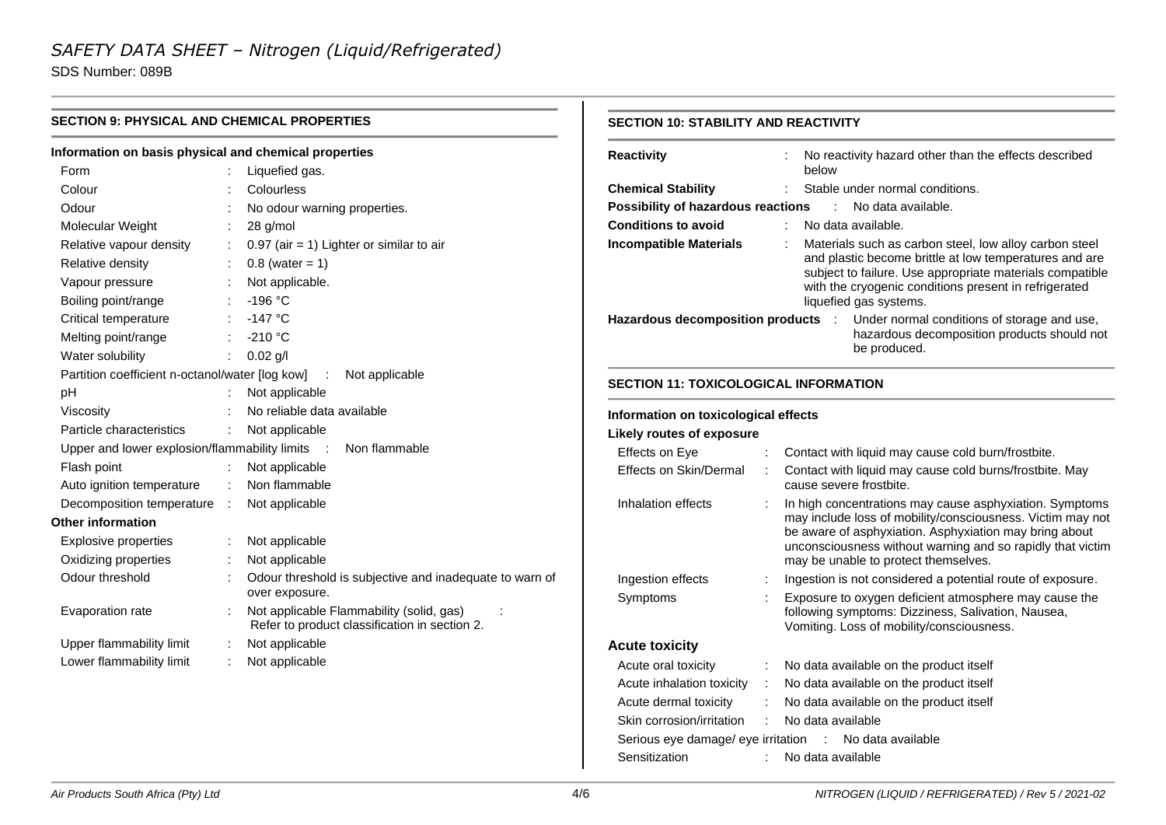SDS Number: 089B

| <b>SECTION 9: PHYSICAL AND CHEMICAL PROPERTIES</b>    |  | <b>SECTION 10: STABILITY AND REACTIVITY</b>                                               |                                              |  |                                                                                                                      |
|-------------------------------------------------------|--|-------------------------------------------------------------------------------------------|----------------------------------------------|--|----------------------------------------------------------------------------------------------------------------------|
| Information on basis physical and chemical properties |  |                                                                                           | Reactivity                                   |  | No reactivity hazard other than the effects described                                                                |
| Form                                                  |  | Liquefied gas.                                                                            |                                              |  | below                                                                                                                |
| Colour                                                |  | Colourless                                                                                | <b>Chemical Stability</b>                    |  | Stable under normal conditions.                                                                                      |
| Odour                                                 |  | No odour warning properties.                                                              | Possibility of hazardous reactions           |  | : No data available.                                                                                                 |
| Molecular Weight                                      |  | 28 g/mol                                                                                  | <b>Conditions to avoid</b>                   |  | No data available.                                                                                                   |
| Relative vapour density                               |  | $0.97$ (air = 1) Lighter or similar to air                                                | <b>Incompatible Materials</b>                |  | Materials such as carbon steel, low alloy carbon steel                                                               |
| Relative density                                      |  | $0.8$ (water = 1)                                                                         |                                              |  | and plastic become brittle at low temperatures and are<br>subject to failure. Use appropriate materials compatible   |
| Vapour pressure                                       |  | Not applicable.                                                                           |                                              |  | with the cryogenic conditions present in refrigerated                                                                |
| Boiling point/range                                   |  | $-196 °C$                                                                                 |                                              |  | liquefied gas systems.                                                                                               |
| Critical temperature                                  |  | $-147$ °C                                                                                 | Hazardous decomposition products :           |  | Under normal conditions of storage and use,                                                                          |
| Melting point/range                                   |  | $-210$ °C                                                                                 |                                              |  | hazardous decomposition products should not                                                                          |
| Water solubility                                      |  | : $0.02$ g/l                                                                              |                                              |  | be produced.                                                                                                         |
| Partition coefficient n-octanol/water [log kow]       |  | Not applicable<br>$\mathbb{R}^n$                                                          |                                              |  |                                                                                                                      |
| pH                                                    |  | Not applicable                                                                            | <b>SECTION 11: TOXICOLOGICAL INFORMATION</b> |  |                                                                                                                      |
| Viscosity                                             |  | No reliable data available                                                                | Information on toxicological effects         |  |                                                                                                                      |
| Particle characteristics                              |  | Not applicable                                                                            | <b>Likely routes of exposure</b>             |  |                                                                                                                      |
| Upper and lower explosion/flammability limits :       |  | Non flammable                                                                             | Effects on Eye                               |  | Contact with liquid may cause cold burn/frostbite.                                                                   |
| Flash point                                           |  | Not applicable                                                                            | Effects on Skin/Dermal                       |  | Contact with liquid may cause cold burns/frostbite. May                                                              |
| Auto ignition temperature                             |  | : Non flammable                                                                           |                                              |  | cause severe frostbite.                                                                                              |
| Decomposition temperature :                           |  | Not applicable                                                                            | Inhalation effects                           |  | In high concentrations may cause asphyxiation. Symptoms                                                              |
| <b>Other information</b>                              |  |                                                                                           |                                              |  | may include loss of mobility/consciousness. Victim may not                                                           |
| Explosive properties                                  |  | Not applicable                                                                            |                                              |  | be aware of asphyxiation. Asphyxiation may bring about<br>unconsciousness without warning and so rapidly that victim |
| Oxidizing properties                                  |  | Not applicable                                                                            |                                              |  | may be unable to protect themselves.                                                                                 |
| Odour threshold                                       |  | Odour threshold is subjective and inadequate to warn of                                   | Ingestion effects                            |  | Ingestion is not considered a potential route of exposure.                                                           |
|                                                       |  | over exposure.                                                                            | Symptoms                                     |  | Exposure to oxygen deficient atmosphere may cause the                                                                |
| Evaporation rate                                      |  | Not applicable Flammability (solid, gas)<br>Refer to product classification in section 2. |                                              |  | following symptoms: Dizziness, Salivation, Nausea,<br>Vomiting. Loss of mobility/consciousness.                      |
| Upper flammability limit                              |  | Not applicable                                                                            | <b>Acute toxicity</b>                        |  |                                                                                                                      |
| Lower flammability limit                              |  | Not applicable                                                                            | Acute oral toxicity                          |  | No data available on the product itself                                                                              |
|                                                       |  |                                                                                           | Acute inhalation toxicity                    |  | No data available on the product itself                                                                              |
|                                                       |  |                                                                                           | Acute dermal toxicity                        |  | No data available on the product itself                                                                              |
|                                                       |  |                                                                                           | Skin corrosion/irritation                    |  | No data available                                                                                                    |
|                                                       |  |                                                                                           | Serious eye damage/ eye irritation :         |  | No data available                                                                                                    |
|                                                       |  |                                                                                           | Sensitization                                |  | No data available                                                                                                    |
|                                                       |  |                                                                                           |                                              |  |                                                                                                                      |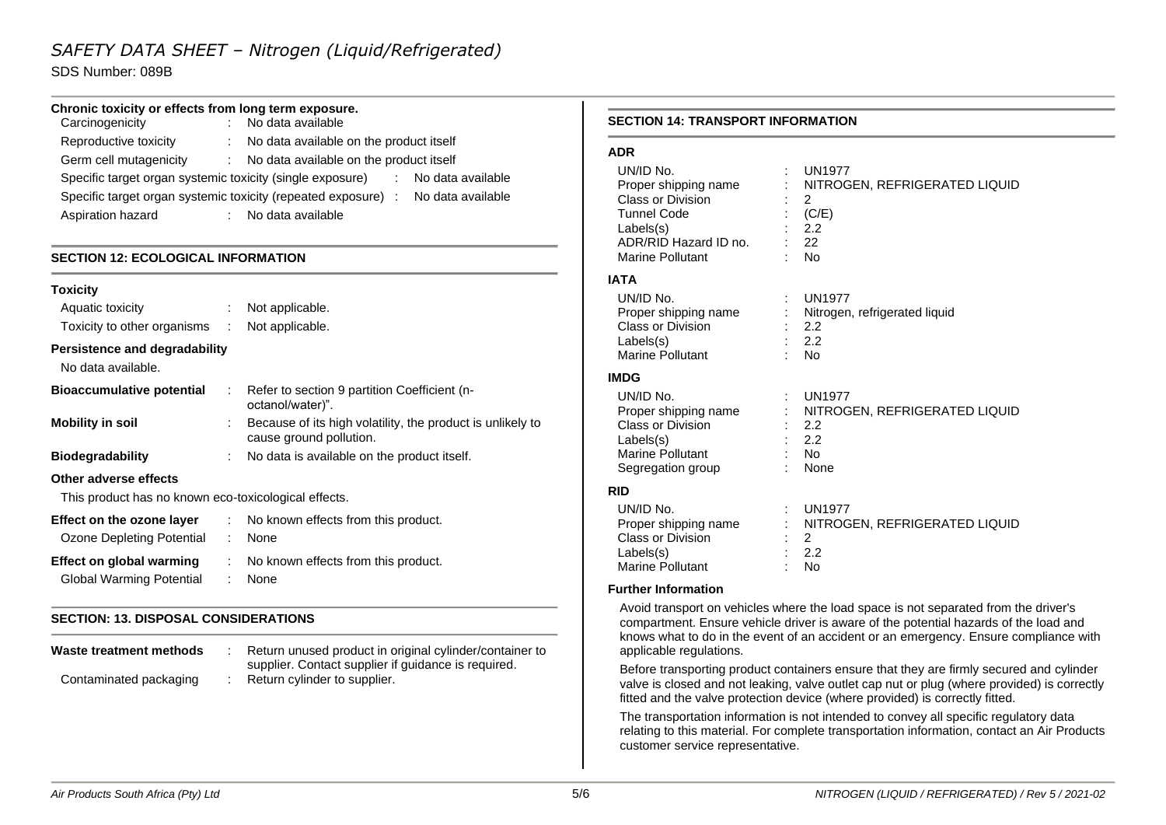SDS Number: 089B

# **Chronic toxicity or effects from long term exposure.**

| Carcinogenicity                                           | : No data available                                                                |  |  |
|-----------------------------------------------------------|------------------------------------------------------------------------------------|--|--|
| Reproductive toxicity                                     | No data available on the product itself<br>$\mathbb{R}^{n}$                        |  |  |
| Germ cell mutagenicity                                    | No data available on the product itself<br>diam.                                   |  |  |
| Specific target organ systemic toxicity (single exposure) | No data available                                                                  |  |  |
|                                                           | Specific target organ systemic toxicity (repeated exposure) :<br>No data available |  |  |
| Aspiration hazard                                         | No data available                                                                  |  |  |

# **SECTION 12: ECOLOGICAL INFORMATION**

| <b>Toxicity</b>                                      |                |                                                                                       |
|------------------------------------------------------|----------------|---------------------------------------------------------------------------------------|
| Aquatic toxicity                                     |                | $:$ Not applicable.                                                                   |
| Toxicity to other organisms : Not applicable.        |                |                                                                                       |
| Persistence and degradability<br>No data available.  |                |                                                                                       |
| <b>Bioaccumulative potential</b>                     |                | Refer to section 9 partition Coefficient (n-<br>octanol/water)".                      |
| <b>Mobility in soil</b>                              |                | Because of its high volatility, the product is unlikely to<br>cause ground pollution. |
| <b>Biodegradability</b>                              |                | No data is available on the product itself.                                           |
| Other adverse effects                                |                |                                                                                       |
| This product has no known eco-toxicological effects. |                |                                                                                       |
| Effect on the ozone layer                            |                | : No known effects from this product.                                                 |
| Ozone Depleting Potential                            | $\mathbb{R}^n$ | None                                                                                  |
| <b>Effect on global warming</b>                      |                | No known effects from this product.                                                   |

Global Warming Potential : None

# **SECTION: 13. DISPOSAL CONSIDERATIONS**

| Waste treatment methods | Return unused product in original cylinder/container to<br>supplier. Contact supplier if guidance is required. |
|-------------------------|----------------------------------------------------------------------------------------------------------------|
| Contaminated packaging  | Return cylinder to supplier.                                                                                   |

#### **SECTION 14: TRANSPORT INFORMATION**

# **ADR**

| UN/ID No.                | <b>UN1977</b>                 |
|--------------------------|-------------------------------|
| Proper shipping name     | NITROGEN, REFRIGERATED LIQUID |
| <b>Class or Division</b> | 2                             |
| <b>Tunnel Code</b>       | (C/E)                         |
| Labels(s)                | 2.2                           |
| ADR/RID Hazard ID no.    | 22                            |
| Marine Pollutant         | <b>No</b>                     |
| <b>IATA</b>              |                               |
| UN/ID No.                | <b>UN1977</b>                 |
| Proper shipping name     | Nitrogen, refrigerated liquid |
| <b>Class or Division</b> | 2.2                           |
| Labels(s)                | 2.2                           |
| <b>Marine Pollutant</b>  | <b>No</b>                     |
| <b>IMDG</b>              |                               |
| UN/ID No.                | <b>UN1977</b>                 |
| Proper shipping name     | NITROGEN, REFRIGERATED LIQUID |
| Class or Division        | 2.2                           |
| Labels(s)                | 2.2                           |
| <b>Marine Pollutant</b>  | - No                          |
| Segregation group        | None                          |
| <b>RID</b>               |                               |
| UN/ID No.                | <b>UN1977</b>                 |
| Proper shipping name     | NITROGEN, REFRIGERATED LIQUID |
| Class or Division        | 2                             |
| Labels(s)                | 2.2                           |
| Marine Pollutant         | No                            |

# Marine Pollutant **Further Information**

Avoid transport on vehicles where the load space is not separated from the driver's compartment. Ensure vehicle driver is aware of the potential hazards of the load and knows what to do in the event of an accident or an emergency. Ensure compliance with applicable regulations.

Before transporting product containers ensure that they are firmly secured and cylinder valve is closed and not leaking, valve outlet cap nut or plug (where provided) is correctly fitted and the valve protection device (where provided) is correctly fitted.

The transportation information is not intended to convey all specific regulatory data relating to this material. For complete transportation information, contact an Air Products customer service representative.